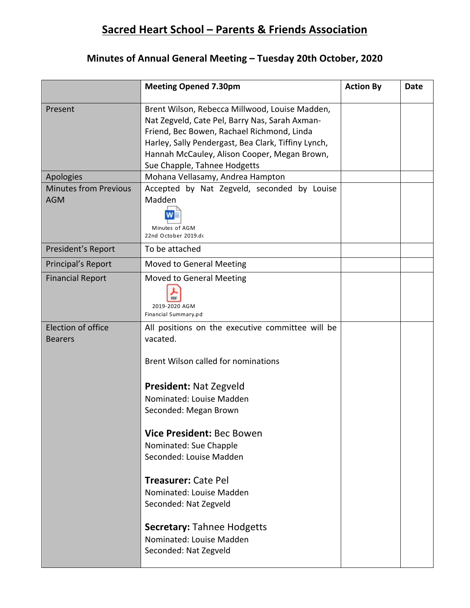## **Sacred Heart School – Parents & Friends Association**

## **Minutes of Annual General Meeting – Tuesday 20th October, 2020**

|                                            | <b>Meeting Opened 7.30pm</b>                                                                                                                                                                                                                                                                                                                                                                                                                      | <b>Action By</b> | Date |
|--------------------------------------------|---------------------------------------------------------------------------------------------------------------------------------------------------------------------------------------------------------------------------------------------------------------------------------------------------------------------------------------------------------------------------------------------------------------------------------------------------|------------------|------|
| Present                                    | Brent Wilson, Rebecca Millwood, Louise Madden,<br>Nat Zegveld, Cate Pel, Barry Nas, Sarah Axman-<br>Friend, Bec Bowen, Rachael Richmond, Linda<br>Harley, Sally Pendergast, Bea Clark, Tiffiny Lynch,<br>Hannah McCauley, Alison Cooper, Megan Brown,<br>Sue Chapple, Tahnee Hodgetts                                                                                                                                                             |                  |      |
| Apologies                                  | Mohana Vellasamy, Andrea Hampton                                                                                                                                                                                                                                                                                                                                                                                                                  |                  |      |
| <b>Minutes from Previous</b><br><b>AGM</b> | Accepted by Nat Zegveld, seconded by Louise<br>Madden<br>Minutes of AGM<br>22nd October 2019.do                                                                                                                                                                                                                                                                                                                                                   |                  |      |
| President's Report                         | To be attached                                                                                                                                                                                                                                                                                                                                                                                                                                    |                  |      |
| Principal's Report                         | Moved to General Meeting                                                                                                                                                                                                                                                                                                                                                                                                                          |                  |      |
| <b>Financial Report</b>                    | Moved to General Meeting<br>2019-2020 AGM<br>Financial Summary.pd                                                                                                                                                                                                                                                                                                                                                                                 |                  |      |
| Election of office<br><b>Bearers</b>       | All positions on the executive committee will be<br>vacated.<br>Brent Wilson called for nominations<br><b>President: Nat Zegveld</b><br>Nominated: Louise Madden<br>Seconded: Megan Brown<br>Vice President: Bec Bowen<br>Nominated: Sue Chapple<br>Seconded: Louise Madden<br>Treasurer: Cate Pel<br>Nominated: Louise Madden<br>Seconded: Nat Zegveld<br><b>Secretary: Tahnee Hodgetts</b><br>Nominated: Louise Madden<br>Seconded: Nat Zegveld |                  |      |